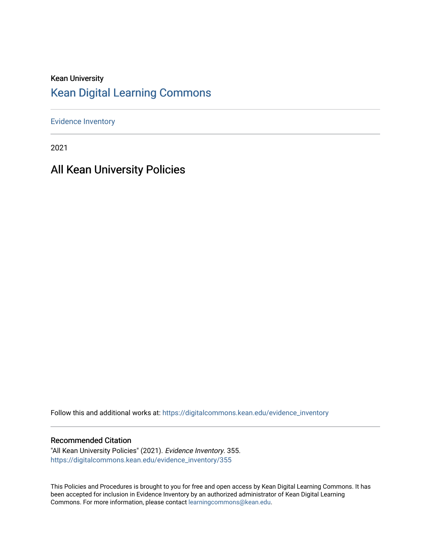## Kean University [Kean Digital Learning Commons](https://digitalcommons.kean.edu/)

[Evidence Inventory](https://digitalcommons.kean.edu/evidence_inventory) 

2021

## All Kean University Policies

Follow this and additional works at: [https://digitalcommons.kean.edu/evidence\\_inventory](https://digitalcommons.kean.edu/evidence_inventory?utm_source=digitalcommons.kean.edu%2Fevidence_inventory%2F355&utm_medium=PDF&utm_campaign=PDFCoverPages)

#### Recommended Citation

"All Kean University Policies" (2021). Evidence Inventory. 355. [https://digitalcommons.kean.edu/evidence\\_inventory/355](https://digitalcommons.kean.edu/evidence_inventory/355?utm_source=digitalcommons.kean.edu%2Fevidence_inventory%2F355&utm_medium=PDF&utm_campaign=PDFCoverPages)

This Policies and Procedures is brought to you for free and open access by Kean Digital Learning Commons. It has been accepted for inclusion in Evidence Inventory by an authorized administrator of Kean Digital Learning Commons. For more information, please contact [learningcommons@kean.edu.](mailto:learningcommons@kean.edu)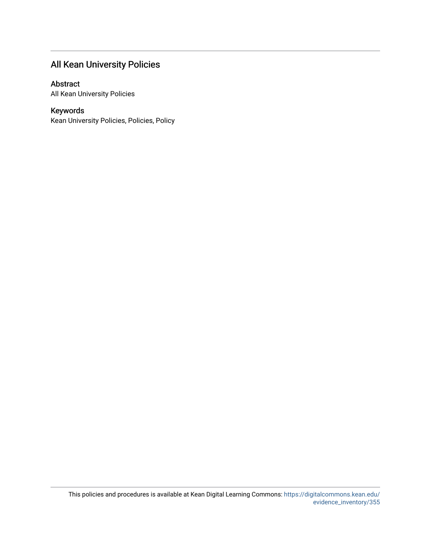## All Kean University Policies

#### Abstract

All Kean University Policies

#### Keywords

Kean University Policies, Policies, Policy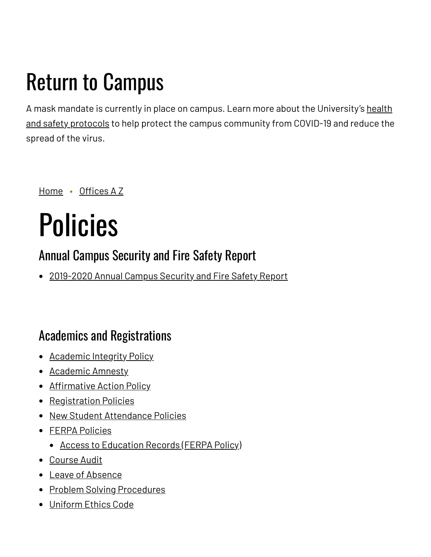## Return to Campus

A mask mandate is currently in place on campus. Learn more about the [University's](https://www.kean.edu/welcome-fall-2021-semester) health and safety protocols to help protect the campus community from COVID-19 and reduce the spread of the virus.

[Home](https://www.kean.edu/) • [Offices](https://www.kean.edu/offices) A Z

# Policies

## Annual Campus Security and Fire Safety Report

• [2019-2020](https://www.kean.edu/offices/university-police/annual-campus-security-and-fire-safety-report) Annual Campus Security and Fire Safety Report

## Academics and Registrations

- [Academic](https://www.kean.edu/academic-integrity) Integrity Policy
- [Academic](https://www.kean.edu/division-academic-affairs/academic-amnesty) Amnesty
- [Affirmative](https://www.kean.edu/offices/affirmative-action) Action Policy
- [Registration](https://www.kean.edu/offices/registrars-office/registration-information) Policies
- New Student [Attendance](https://www.kean.edu/division-student-affairs/policies/new-student-attendance-policy) Policies
- FERPA [Policies](https://www.kean.edu/media/ferpa-policy)
	- Access to [Education](https://www.kean.edu/offices/policies/family-educational-rights-and-privacy-act-ferpa) Records (FERPA Policy)
- [Course](https://www.kean.edu/division-student-affairs/policies/course-audit) Audit
- Leave of [Absence](https://www.kean.edu/offices/policies/leave-absence)
- Problem Solving [Procedures](https://www.kean.edu/offices/policies/problem-solving-procedures)
- [Uniform](https://www.kean.edu/media/uniform-ethics-code) Ethics Code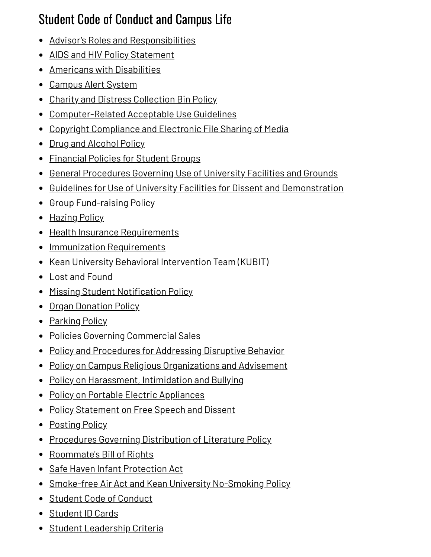## Student Code of Conduct and Campus Life

- Advisor's Roles and [Responsibilities](https://www.kean.edu/media/student-group-advisor-contract)
- AIDS and HIV Policy [Statement](https://www.kean.edu/offices/policies/aids-and-hiv-policy-statement)
- Americans with [Disabilities](https://www.kean.edu/offices/policies/americans-disabilities-act)
- [Campus](https://www.kean.edu/offices/university-police-0/campus-alert) Alert System
- Charity and Distress [Collection](https://www.kean.edu/offices/center-leadership-and-service/forms-and-policies/charity-and-distress-collection-bin-policy) Bin Policy
- [Computer-Related](https://www.kean.edu/media/computer-related-acceptable-use-policy) Acceptable Use Guidelines
- Copyright [Compliance](https://www.kean.edu/offices/policies/electronic-file-sharing) and Electronic File Sharing of Media
- Drug and [Alcohol](https://www.kean.edu/offices/policies/drug-and-alcohol-policy) Policy
- [Financial](https://www.kean.edu/offices/center-leadership-and-service-0/student-group-bank-accounts) Policies for Student Groups
- General [Procedures](https://www.kean.edu/offices/miron-student-center/miron-student-center-event-management/request-use-university) Governing Use of University Facilities and Grounds
- Guidelines for Use of University Facilities for Dissent and [Demonstration](https://www.kean.edu/offices/miron-student-center/dissent-and-demonstration-guidelines)
- Group [Fund-raising](https://www.kean.edu/offices/center-leadership-and-service/forms-and-policies/group-fundraising-policy) Policy
- [Hazing](https://www.kean.edu/offices/policies/hazing-policy) Policy
- Health Insurance [Requirements](https://www.kean.edu/offices/student-health-services/health-insurance)
- Immunization [Requirements](https://www.kean.edu/offices/student-health-services/immunizations)
- Kean University Behavioral [Intervention](https://www.kean.edu/kubit-cares) Team (KUBIT)
- Lost and [Found](https://www.kean.edu/offices/university-police/lost-and-found)
- Missing Student [Notification](https://www.kean.edu/offices/policies/missing-student-notification-policy) Policy
- Organ [Donation](https://www.kean.edu/offices/policies/organ-donation) Policy
- [Parking](https://www.kean.edu/parking) Policy
- Policies Governing [Commercial](https://www.kean.edu/offices/miron-student-center/policies-governing-commercial-sales) Sales
- Policy and [Procedures](https://www.kean.edu/offices/policies/disruptive-behavior) for Addressing Disruptive Behavior
- Policy on Campus Religious [Organizations](https://www.kean.edu/offices/policies/policy-campus-religious-organizations-and-advisement) and Advisement
- Policy on [Harassment,](https://www.kean.edu/offices/policies/policy-harassment-intimidation-and-bullying) Intimidation and Bullying
- Policy on Portable Electric [Appliances](https://www.kean.edu/offices/policies/policy-portable-electronic-appliances)
- Policy [Statement](https://www.kean.edu/offices/miron-student-center/free-speech-and-dissent-policy) on Free Speech and Dissent
- [Posting](https://www.kean.edu/offices/policies/posting-policy) Policy
- Procedures Governing [Distribution](https://www.kean.edu/offices/policies/distribution-literature-policy) of Literature Policy
- [Roommate's](https://www.kean.edu/offices/residential-student-services/residence-hall-policies/roomates-bill-rights) Bill of Rights
- Safe Haven Infant [Protection](https://www.kean.edu/offices/policies/safe-haven-infant-protection-act) Act
- Smoke-free Air Act and Kean University [No-Smoking](https://www.kean.edu/offices/policies/smoke-free-air-act) Policy
- Student Code of [Conduct](https://www.kean.edu/offices/community-standards-and-student-conduct/student-code-conduct)
- [Student](https://www.kean.edu/offices/student-accounting/kean-id-cards-and-meal-plans) ID Cards
- Student [Leadership](https://www.kean.edu/offices/center-leadership-and-service-0/student-leadership-criteria) Criteria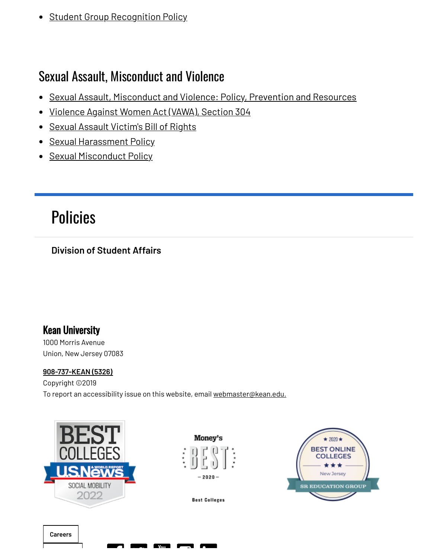• Student Group [Recognition](https://www.kean.edu/offices/center-leadership-and-service-0) Policy

## Sexual Assault, Misconduct and Violence

- Sexual Assault, [Misconduct](https://www.kean.edu/offices/policies/sexual-assault-misconduct-and-violence) and Violence: Policy, Prevention and Resources
- [Violence](https://www.kean.edu/offices/policies/vawa-section-304) Against Women Act (VAWA), Section 304
- Sexual Assault [Victim's](https://www.kean.edu/offices/policies/sexual-assault-victims-bill-rights) Bill of Rights
- Sexual [Harassment](https://www.kean.edu/offices/policies/sexual-harassment-policy) Policy
- Sexual [Misconduct](https://www.kean.edu/offices/policies/sexual-misconduct-policy) Policy

## [Policies](https://www.kean.edu/offices/policies)

### **Division of [Student](https://www.kean.edu/division-student-affairs) Affairs**

## Kean University

1000 Morris Avenue Union, New Jersey 07083

#### **[908-737-KEAN](tel:908-737-5326) (5326)**

Copyright ©2019 To report an accessibility issue on this website, email [webmaster@kean.edu.](mailto:webmaster@kean.edu)

**en en Evan de Andre**<br>De Andre



Money's  $2020 -$ 



**Best Colleges**